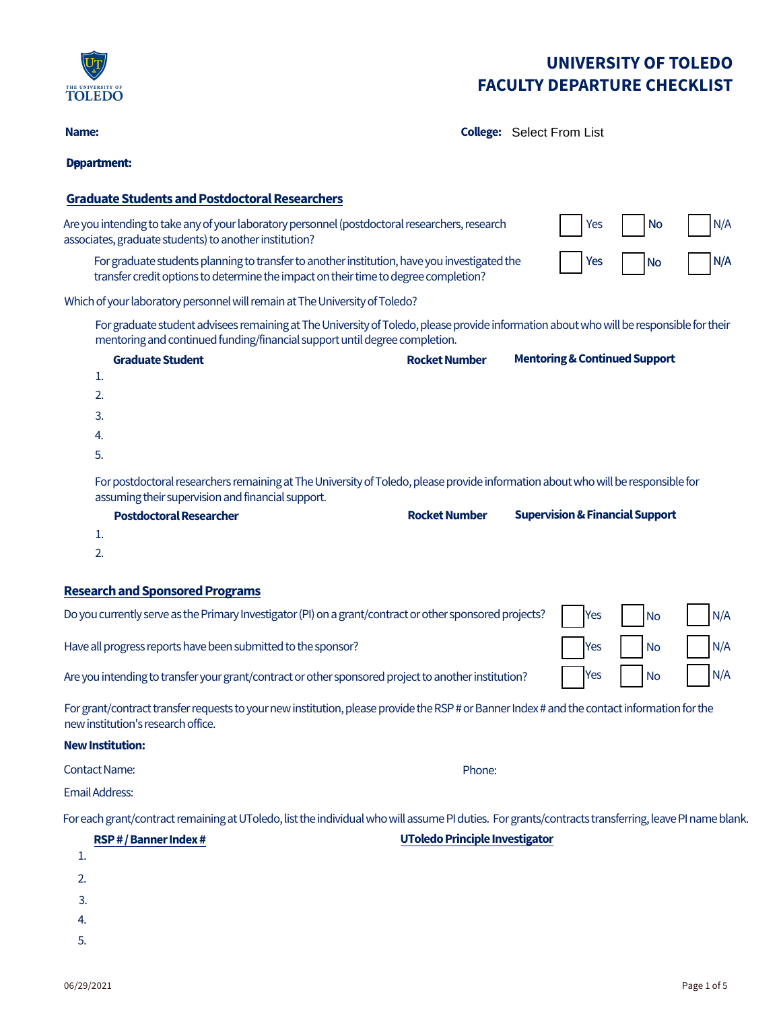

**Name: College:** College: Select From List

## **Department: Graduate Students and Postdoctoral Researchers** Are you intending to take any of your laboratory personnel (postdoctoral researchers, research associates, graduate students) to another institution? Yes | No For graduate students planning to transfer to another institution, have you investigated the transfer credit options to determine the impact on their time to degree completion? Yes I I No Which of your laboratory personnel will remain at The University of Toledo? For graduate student advisees remaining at The University of Toledo, please provide information about who will be responsible for their mentoring and continued funding/financial support until degree completion. **Graduate Student RocketNumber Mentoring & Continued Support** 1. 2. 3. 4. 5. For postdoctoral researchers remaining at The University of Toledo, please provide information about who will be responsible for assuming their supervision and financial support. **Postdoctoral Researcher RocketNumber Supervision & Financial Support** 1. 2. **Research and Sponsored Programs** Do you currently serve as the Primary Investigator (PI) on a grant/contract or other sponsored projects? Have all progress reports have been submitted to the sponsor? Are you intending to transfer your grant/contract or other sponsored project to another institution? For grant/contract transfer requests to your new institution, please provide the RSP # or Banner Index # and the contact information for the N/A N/A Yes No N/A Yes | No | N/A Yes | No | N/A

new institution's research office.

#### **New Institution:**

**Contact Name:** 

Email Address:

For each grant/contract remaining at UToledo, list the individual who will assume PI duties. For grants/contracts transferring, leave PI name blank.

| RSP # / Banner Index # | <b>UToledo Principle Investigator</b> |  |
|------------------------|---------------------------------------|--|
| .                      |                                       |  |
| ົ<br>L.                |                                       |  |
| 3.                     |                                       |  |
| 4.                     |                                       |  |
| -                      |                                       |  |

Phone: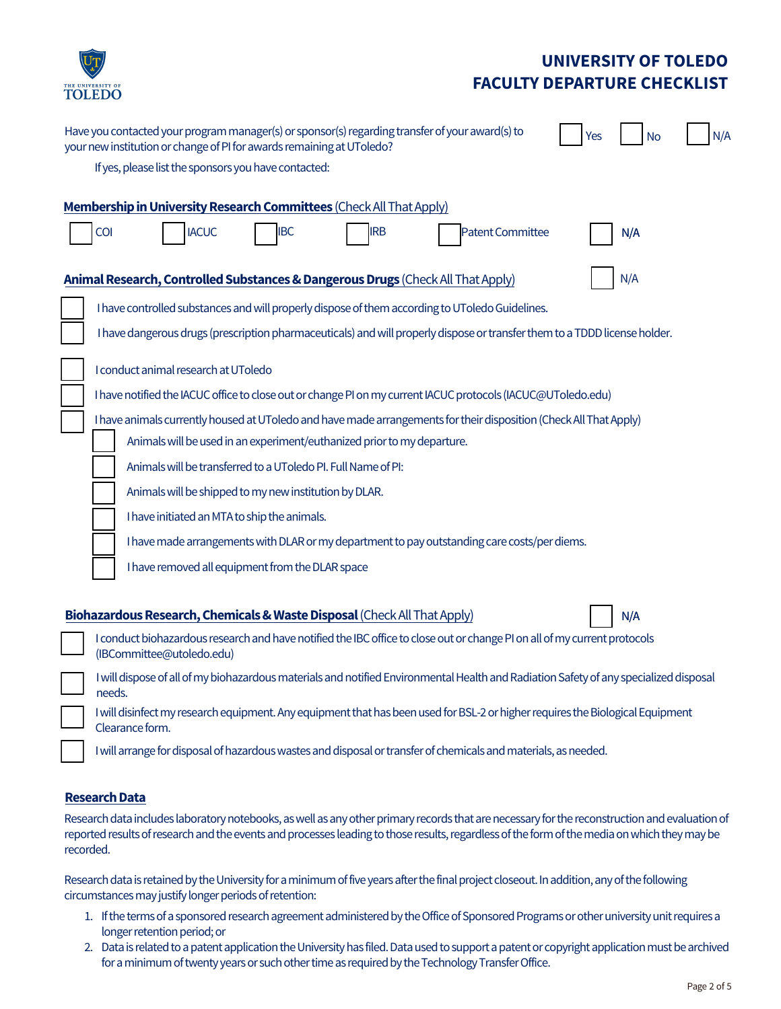

| Have you contacted your program manager(s) or sponsor(s) regarding transfer of your award(s) to<br>N/A<br><b>No</b><br>Yes<br>your new institution or change of PI for awards remaining at UToledo? |
|-----------------------------------------------------------------------------------------------------------------------------------------------------------------------------------------------------|
| If yes, please list the sponsors you have contacted:                                                                                                                                                |
|                                                                                                                                                                                                     |
| Membership in University Research Committees (Check All That Apply)                                                                                                                                 |
| COI<br><b>IACUC</b><br><b>IBC</b><br><b>IRB</b><br>Patent Committee<br>N/A                                                                                                                          |
| N/A<br>Animal Research, Controlled Substances & Dangerous Drugs (Check All That Apply)                                                                                                              |
| I have controlled substances and will properly dispose of them according to UToledo Guidelines.                                                                                                     |
| I have dangerous drugs (prescription pharmaceuticals) and will properly dispose or transfer them to a TDDD license holder.                                                                          |
| I conduct animal research at UToledo                                                                                                                                                                |
| I have notified the IACUC office to close out or change PI on my current IACUC protocols (IACUC@UToledo.edu)                                                                                        |
| I have animals currently housed at UToledo and have made arrangements for their disposition (Check All That Apply)                                                                                  |
| Animals will be used in an experiment/euthanized prior to my departure.                                                                                                                             |
| Animals will be transferred to a UToledo PI. Full Name of PI:                                                                                                                                       |
| Animals will be shipped to my new institution by DLAR.                                                                                                                                              |
| I have initiated an MTA to ship the animals.                                                                                                                                                        |
| I have made arrangements with DLAR or my department to pay outstanding care costs/per diems.                                                                                                        |
| I have removed all equipment from the DLAR space                                                                                                                                                    |
|                                                                                                                                                                                                     |
| Biohazardous Research, Chemicals & Waste Disposal (Check All That Apply)<br>N/A                                                                                                                     |
| I conduct biohazardous research and have notified the IBC office to close out or change PI on all of my current protocols<br>(IBCommittee@utoledo.edu)                                              |
| I will dispose of all of my biohazardous materials and notified Environmental Health and Radiation Safety of any specialized disposal<br>needs.                                                     |
| I will disinfect my research equipment. Any equipment that has been used for BSL-2 or higher requires the Biological Equipment<br>Clearance form.                                                   |
| I will arrange for disposal of hazardous wastes and disposal or transfer of chemicals and materials, as needed.                                                                                     |

#### **Research Data**

Research data includes laboratory notebooks, as well as any other primary records that are necessary for the reconstruction and evaluation of reported results of research and the events and processes leading to those results, regardless of the form of the media on which they may be recorded.

Research data is retained by the University for a minimum of five years after the final project closeout. In addition, any of the following circumstances may justify longer periods of retention:

- 1. If the terms of a sponsored research agreement administered by the Office of Sponsored Programs or other university unit requires a longer retention period; or
- 2. Data is related to a patent application the University has filed. Data used to support a patent or copyright application must be archived for a minimum of twenty years or such other time as required by the Technology Transfer Office.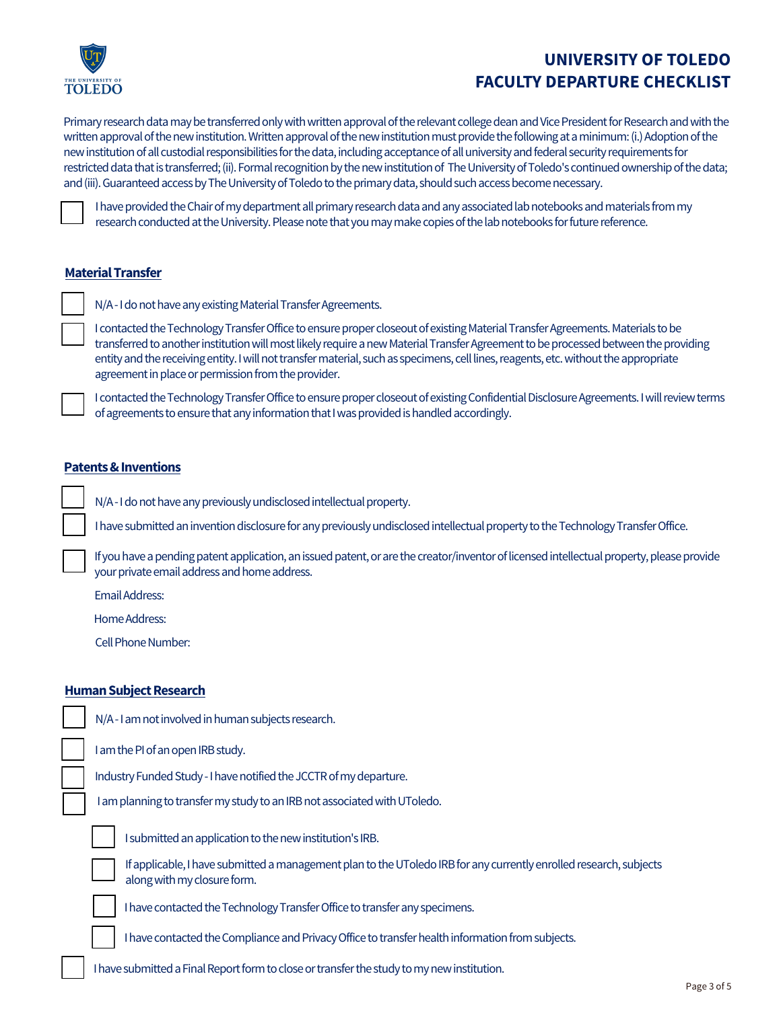

Primary research data may be transferred only with written approval of the relevant college dean and Vice President for Research and with the written approval of the new institution. Written approval of the new institution must provide the following at a minimum: (i.) Adoption of the new institution of all custodial responsibilities for the data, including acceptance of all university and federal security requirements for restricted data that is transferred; (ii). Formal recognition by the new institution of The University of Toledo's continued ownership of the data; and (iii). Guaranteed access by The University of Toledo to the primary data, should such access become necessary.



I have provided the Chair of my department all primary research data and any associated lab notebooks and materials from my research conducted at the University. Please note that you may make copies of the lab notebooks for future reference.

### **Material Transfer**

N/A - I do not have any existing Material Transfer Agreements.

I contacted the Technology Transfer Office to ensure proper closeout of existing Material Transfer Agreements. Materials to be transferred to another institution will most likely require a new Material Transfer Agreement to be processed between the providing entity and the receiving entity. I will not transfer material, such as specimens, cell lines, reagents, etc. without the appropriate agreement in place or permission from the provider.

I contacted the Technology Transfer Office to ensure proper closeout of existing Confidential Disclosure Agreements. I will review terms of agreements to ensure that any information that I was provided is handled accordingly.

#### **Patents & Inventions**

N/A - I do not have any previously undisclosed intellectual property.

Ihave submitted an invention disclosure for any previously undisclosed intellectual property to the Technology Transfer Office.

If you have a pending patent application, an issued patent, or are the creator/inventor of licensed intellectual property, please provide your private email address and home address.

Email Address:

Home Address:

Cell Phone Number:

#### **Human Subject Research**

|  | N/A-I am not involved in human subjects research. |
|--|---------------------------------------------------|
|  | I am the PI of an open IRB study.                 |

Industry Funded Study - I have notified the JCCTR of my departure.

I am planning to transfer my study to an IRB not associated with UToledo.



I submitted an application to the newinstitution'sIRB.

If applicable, I have submitted a management plan to the UToledo IRB for any currently enrolled research, subjects along with my closure form.

I have contacted the Technology Transfer Office to transfer any specimens.

I have contacted the Compliance and Privacy Office to transfer health information from subjects.

I have submitted a Final Report form to close or transfer the study to my new institution.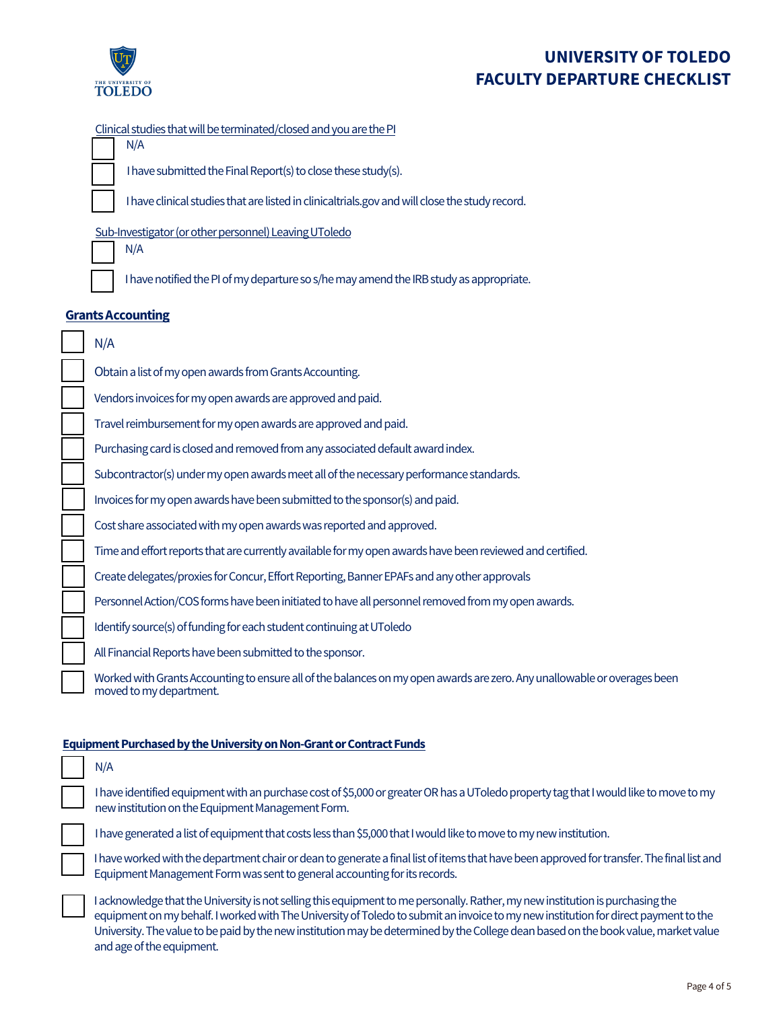

N/A

# **UNIVERSITY OF TOLEDO FACULTY DEPARTURE CHECKLIST**

### Clinical studies that will be terminated/closed and you are the PI

I have submitted the Final Report(s) to close these study(s).

I have clinical studies that are listed in clinicaltrials.gov and will close the study record.

### Sub-Investigator (or other personnel) Leaving UToledo

N/A

I have notified the PI of my departure so s/he may amend the IRB study as appropriate.

### **Grants Accounting**

| N/A                                                                                                                      |
|--------------------------------------------------------------------------------------------------------------------------|
| Obtain a list of my open awards from Grants Accounting.                                                                  |
| Vendors invoices for my open awards are approved and paid.                                                               |
| Travel reimbursement for my open awards are approved and paid.                                                           |
| Purchasing card is closed and removed from any associated default award index.                                           |
| Subcontractor(s) under my open awards meet all of the necessary performance standards.                                   |
| Invoices for my open awards have been submitted to the sponsor(s) and paid.                                              |
| Cost share associated with my open awards was reported and approved.                                                     |
| Time and effort reports that are currently available for my open awards have been reviewed and certified.                |
| Create delegates/proxies for Concur, Effort Reporting, Banner EPAFs and any other approvals                              |
| Personnel Action/COS forms have been initiated to have all personnel removed from my open awards.                        |
| Identify source(s) of funding for each student continuing at UT oledo                                                    |
| All Financial Reports have been submitted to the sponsor.                                                                |
| Worked with Grants Accounting to ensure all of the balances on my open awards are zero. Any unallowable or overages been |

unting to ensure all of the balances on my open awards are zero. Any moved tomy department.

#### **Equipment Purchased by the University on Non-Grant or Contract Funds**

| N/A                                                                                                                                                                                                                                                                                                                                                                                                                                       |
|-------------------------------------------------------------------------------------------------------------------------------------------------------------------------------------------------------------------------------------------------------------------------------------------------------------------------------------------------------------------------------------------------------------------------------------------|
| I have identified equipment with an purchase cost of \$5,000 or greater OR has a UToledo property tag that I would like to move to my<br>new institution on the Equipment Management Form.                                                                                                                                                                                                                                                |
| I have generated a list of equipment that costs less than \$5,000 that I would like to move to my new institution.                                                                                                                                                                                                                                                                                                                        |
| I have worked with the department chair or dean to generate a final list of items that have been approved for transfer. The final list and<br>Equipment Management Form was sent to general accounting for its records.                                                                                                                                                                                                                   |
| I acknowledge that the University is not selling this equipment to me personally. Rather, my new institution is purchasing the<br>equipment on my behalf. I worked with The University of Toledo to submit an invoice to my new institution for direct payment to the<br>University. The value to be paid by the new institution may be determined by the College dean based on the book value, market value<br>and age of the equipment. |